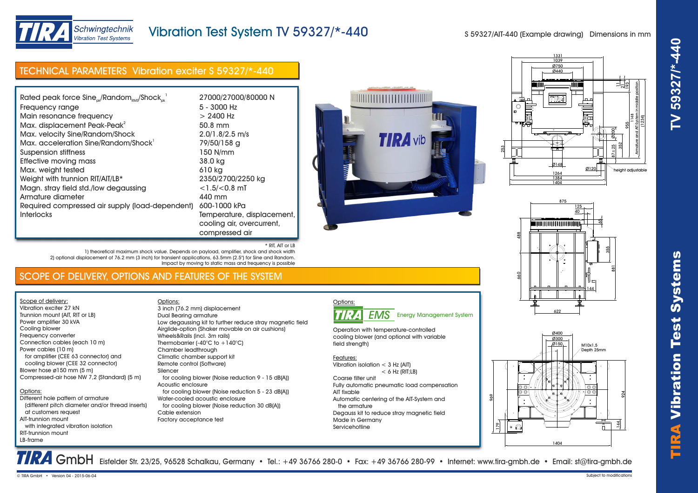

# Vibration Test System TV 59327/\*-440

\* RIT, AIT or LB

S 59327/AIT-440 (Example drawing) Dimensions in mm

| Rated peak force Sine <sub>ck</sub> /Random <sub>RMS</sub> /Shock <sub>nk</sub> <sup>1</sup> | 27000/27000/80000 N        |
|----------------------------------------------------------------------------------------------|----------------------------|
| Frequency range                                                                              | $5 - 3000$ Hz              |
| Main resonance frequency                                                                     | $> 2400$ Hz                |
| Max. displacement Peak-Peak <sup>2</sup>                                                     | 50.8 mm                    |
| Max. velocity Sine/Random/Shock                                                              | 2.0/1.8/2.5 m/s            |
| Max. acceleration Sine/Random/Shock <sup>1</sup>                                             | 79/50/158 g                |
| Suspension stiffness                                                                         | 150 N/mm                   |
| Effective moving mass                                                                        | 38.0 kg                    |
| Max. weight tested                                                                           | 610 kg                     |
| Weight with trunnion RIT/AIT/LB*                                                             | 2350/2700/2250 kg          |
| Magn. stray field std./low degaussing                                                        | $<$ 1.5/ $<$ 0.8 mT        |
| Armature diameter                                                                            | 440 mm                     |
| Required compressed air supply (load-dependent)                                              | 600-1000 kPa               |
| <b>Interlocks</b>                                                                            | Temperature, displacement, |
|                                                                                              | cooling air, overcurrent,  |
|                                                                                              | compressed air             |

TECHNICAL PARAMETERS Vibration exciter S 59327/\*-440

Schwingtechnik **Vibration Test Systems** 







### 1) theoretical maximum shock value. Depends on payload, amplifier, shock and shock width 2) optional displacement of 76.2 mm (3 inch) for transient applications, 63.5mm (2.5") for Sine and Random. Impact by moving to static mass and frequency is possible

## SCOPE OF DELIVERY, OPTIONS AND FEATURES OF THE SYSTEM

Options:

Scope of delivery: Vibration exciter 27 kN Trunnion mount (AIT, RIT or LB) Power amplifier 30 kVA Cooling blower Frequency converter Connection cables (each 10 m) Power cables (10 m) for amplifier (CEE 63 connector) and cooling blower (CEE 32 connector) Blower hose ø150 mm (5 m) Compressed-air hose NW 7,2 (Standard) (5 m)

### Options: Different hole pattern of armature

 (different pitch diameter and/or thread inserts) at customers request AIT-trunnion mount with integrated vibration isolation RIT-trunnion mount LB-frame

Dual Bearing armature Low degaussing kit to further reduce stray magnetic field Airglide-option (Shaker movable on air cushions) Wheels&Rails (incl. 3m rails) Thermobarrier (-40°C to +140°C) Chamber leadthrough Climatic chamber support kit Remote control (Software) Silencer for cooling blower (Noise reduction 9 - 15 dB(A)) Acoustic enclosure for cooling blower (Noise reduction 5 - 23 dB(A)) Water-cooled acoustic enclosure for cooling blower (Noise reduction 30 dB(A)) Cable extension Factory acceptance test 3 inch (76.2 mm) displacement The control of the control of the control of the control of the control of the control of the control of the control of the control of the control of the control of the control of the control of the control of the control

# Options:

Operation with temperature-controlled cooling blower (and optional with variable field strength)

Features: Vibration isolation < 3 Hz (AIT)

 $<$  6 Hz (RIT;LB) Coarse filter unit Fully automatic pneumatic load compensation AIT fixable Automatic centering of the AIT-System and the armature Degauss kit to reduce stray magnetic field Made in Germany **Servicehotline**